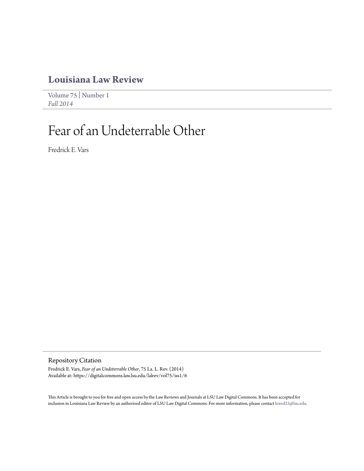## **[Louisiana Law Review](https://digitalcommons.law.lsu.edu/lalrev)**

[Volume 75](https://digitalcommons.law.lsu.edu/lalrev/vol75) | [Number 1](https://digitalcommons.law.lsu.edu/lalrev/vol75/iss1) *[Fall 2014](https://digitalcommons.law.lsu.edu/lalrev/vol75/iss1)*

# Fear of an Undeterrable Other

Fredrick E. Vars

Repository Citation

Fredrick E. Vars, *Fear of an Undeterrable Other*, 75 La. L. Rev. (2014) Available at: https://digitalcommons.law.lsu.edu/lalrev/vol75/iss1/6

This Article is brought to you for free and open access by the Law Reviews and Journals at LSU Law Digital Commons. It has been accepted for inclusion in Louisiana Law Review by an authorized editor of LSU Law Digital Commons. For more information, please contact [kreed25@lsu.edu](mailto:kreed25@lsu.edu).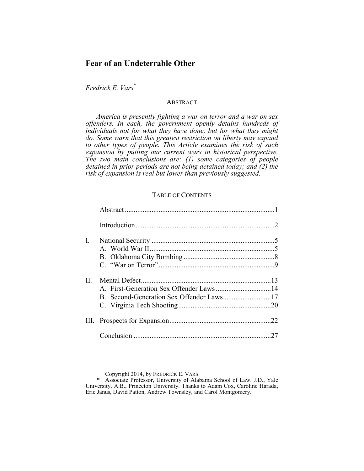### **Fear of an Undeterrable Other**

*Fredrick E. Vars*\*

#### **ABSTRACT**

*America is presently fighting a war on terror and a war on sex offenders. In each, the government openly detains hundreds of individuals not for what they have done, but for what they might do. Some warn that this greatest restriction on liberty may expand to other types of people. This Article examines the risk of such expansion by putting our current wars in historical perspective. The two main conclusions are: (1) some categories of people detained in prior periods are not being detained today; and (2) the risk of expansion is real but lower than previously suggested.* 

#### TABLE OF CONTENTS

| I.           |                                         |    |
|--------------|-----------------------------------------|----|
|              |                                         |    |
|              |                                         |    |
| $\mathbf{H}$ | A. First-Generation Sex Offender Laws14 |    |
|              |                                         |    |
|              |                                         |    |
|              |                                         |    |
|              |                                         | 27 |
|              |                                         |    |

Copyright 2014, by FREDRICK E. VARS.

 <sup>\*</sup> Associate Professor, University of Alabama School of Law. J.D., Yale University. A.B., Princeton University. Thanks to Adam Cox, Caroline Harada, Eric Janus, David Patton, Andrew Townsley, and Carol Montgomery.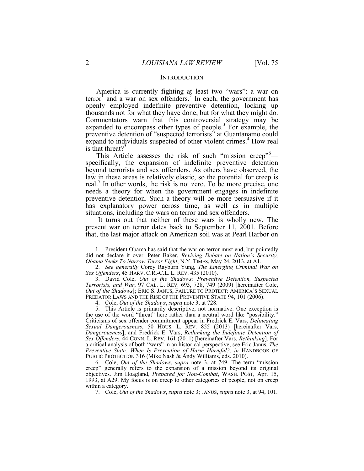#### **INTRODUCTION**

America is currently fighting at least two "wars": a war on  $\text{terror}^1$  and a war on sex offenders.<sup>2</sup> In each, the government has openly employed indefinite preventive detention, locking up thousands not for what they have done, but for what they might do. Commentators warn that this controversial strategy may be expanded to encompass other types of people.<sup>3</sup> For example, the preventive detention of "suspected terrorists" at Guantanamo could expand to individuals suspected of other violent crimes.<sup>4</sup> How real is that threat?<sup>5</sup>

This Article assesses the risk of such "mission creep"<sup>6</sup> specifically, the expansion of indefinite preventive detention beyond terrorists and sex offenders. As others have observed, the law in these areas is relatively elastic, so the potential for creep is real.<sup>7</sup> In other words, the risk is not zero. To be more precise, one needs a theory for when the government engages in indefinite preventive detention. Such a theory will be more persuasive if it has explanatory power across time, as well as in multiple situations, including the wars on terror and sex offenders.

 It turns out that neither of these wars is wholly new. The present war on terror dates back to September 11, 2001. Before that, the last major attack on American soil was at Pearl Harbor on

 <sup>1.</sup> President Obama has said that the war on terror must end, but pointedly did not declare it over. Peter Baker, *Reviving Debate on Nation's Security, Obama Seeks To Narrow Terror Fight*, N.Y. TIMES, May 24, 2013, at A1.

 <sup>2.</sup> *See generally* Corey Rayburn Yung, *The Emerging Criminal War on Sex Offenders*, 45 HARV. C.R.-C.L. L. REV. 435 (2010).

 <sup>3.</sup> David Cole, *Out of the Shadows: Preventive Detention, Suspected Terrorists, and War*, 97 CAL. L. REV. 693, 728, 749 (2009) [hereinafter Cole, *Out of the Shadows*]; ERIC S. JANUS, FAILURE TO PROTECT: AMERICA'S SEXUAL PREDATOR LAWS AND THE RISE OF THE PREVENTIVE STATE 94, 101 (2006).

 <sup>4.</sup> Cole, *Out of the Shadows*, *supra* note 3, at 728.

 <sup>5.</sup> This Article is primarily descriptive, not normative. One exception is the use of the word "threat" here rather than a neutral word like "possibility." Criticisms of sex offender commitment appear in Fredrick E. Vars, *Delineating Sexual Dangerousness*, 50 HOUS. L. REV. 855 (2013) [hereinafter Vars, *Dangerousness*], and Fredrick E. Vars, *Rethinking the Indefinite Detention of Sex Offenders*, 44 CONN. L. REV. 161 (2011) [hereinafter Vars, *Rethinking*]. For a critical analysis of both "wars" in an historical perspective, see Eric Janus, *The Preventive State: When Is Prevention of Harm Harmful?*, *in* HANDBOOK OF PUBLIC PROTECTION 316 (Mike Nash & Andy Williams, eds. 2010).

 <sup>6.</sup> Cole, *Out of the Shadows*, *supra* note 3, at 749. The term "mission creep" generally refers to the expansion of a mission beyond its original objectives. Jim Hoagland, *Prepared for Non-Combat*, WASH. POST, Apr. 15, 1993, at A29. My focus is on creep to other categories of people, not on creep within a category.

 <sup>7.</sup> Cole, *Out of the Shadows*, *supra* note 3; JANUS, *supra* note 3, at 94, 101.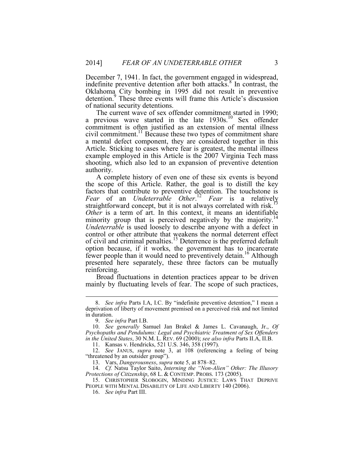December 7, 1941. In fact, the government engaged in widespread, indefinite preventive detention after both attacks.<sup>8</sup> In contrast, the Oklahoma City bombing in 1995 did not result in preventive detention.<sup>9</sup> These three events will frame this Article's discussion of national security detentions.

The current wave of sex offender commitment started in 1990; a previous wave started in the late  $1930s$ .<sup>10</sup> Sex offender commitment is often justified as an extension of mental illness civil commitment.<sup>11</sup> Because these two types of commitment share a mental defect component, they are considered together in this Article. Sticking to cases where fear is greatest, the mental illness example employed in this Article is the 2007 Virginia Tech mass shooting, which also led to an expansion of preventive detention authority.

A complete history of even one of these six events is beyond the scope of this Article. Rather, the goal is to distill the key factors that contribute to preventive detention. The touchstone is *Fear* of an *Undeterrable Other*. <sup>12</sup> *Fear* is a relatively straightforward concept, but it is not always correlated with risk.<sup>13</sup> *Other* is a term of art. In this context, it means an identifiable minority group that is perceived negatively by the majority.<sup>14</sup> *Undeterrable* is used loosely to describe anyone with a defect in control or other attribute that weakens the normal deterrent effect of civil and criminal penalties.15 Deterrence is the preferred default option because, if it works, the government has to incarcerate fewer people than it would need to preventively detain.<sup>16</sup> Although presented here separately, these three factors can be mutually reinforcing.

Broad fluctuations in detention practices appear to be driven mainly by fluctuating levels of fear. The scope of such practices,

1

11. Kansas v. Hendricks, 521 U.S. 346, 358 (1997).

 12. *See* JANUS, *supra* note 3, at 108 (referencing a feeling of being "threatened by an outsider group").

13. Vars, *Dangerousness*, *supra* note 5, at 878–82.

 14. *Cf.* Natsu Taylor Saito, *Interning the "Non-Alien" Other: The Illusory Protections of Citizenship*, 68 L. & CONTEMP. PROBS. 173 (2005).

 15. CHRISTOPHER SLOBOGIN, MINDING JUSTICE: LAWS THAT DEPRIVE PEOPLE WITH MENTAL DISABILITY OF LIFE AND LIBERTY 140 (2006).

16. *See infra* Part III.

 <sup>8.</sup> *See infra* Parts I.A, I.C. By "indefinite preventive detention," I mean a deprivation of liberty of movement premised on a perceived risk and not limited in duration.

 <sup>9.</sup> *See infra* Part I.B.

 <sup>10.</sup> *See generally* Samuel Jan Brakel & James L. Cavanaugh, Jr., *Of Psychopaths and Pendulums: Legal and Psychiatric Treatment of Sex Offenders in the United States*, 30 N.M. L. REV. 69 (2000); *see also infra* Parts II.A, II.B.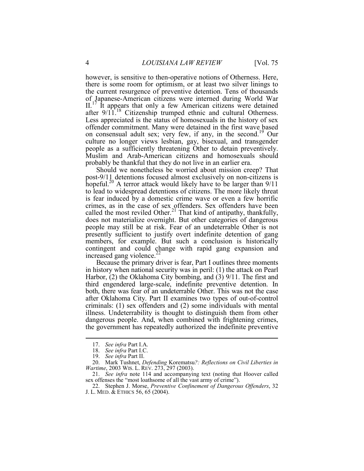however, is sensitive to then-operative notions of Otherness. Here, there is some room for optimism, or at least two silver linings to the current resurgence of preventive detention. Tens of thousands of Japanese-American citizens were interned during World War  $II<sup>T</sup>$  It appears that only a few American citizens were detained after 9/11.<sup>18</sup> Citizenship trumped ethnic and cultural Otherness. Less appreciated is the status of homosexuals in the history of sex offender commitment. Many were detained in the first wave based on consensual adult sex; very few, if any, in the second.<sup>19</sup> Our culture no longer views lesbian, gay, bisexual, and transgender people as a sufficiently threatening Other to detain preventively. Muslim and Arab-American citizens and homosexuals should probably be thankful that they do not live in an earlier era.

Should we nonetheless be worried about mission creep? That post-9/11 detentions focused almost exclusively on non-citizens is hopeful.<sup>20</sup> A terror attack would likely have to be larger than  $9/11$ to lead to widespread detentions of citizens. The more likely threat is fear induced by a domestic crime wave or even a few horrific crimes, as in the case of sex offenders. Sex offenders have been called the most reviled Other.<sup>21</sup> That kind of antipathy, thankfully, does not materialize overnight. But other categories of dangerous people may still be at risk. Fear of an undeterrable Other is not presently sufficient to justify overt indefinite detention of gang members, for example. But such a conclusion is historically contingent and could change with rapid gang expansion and increased gang violence. $^{2}$ 

Because the primary driver is fear, Part I outlines three moments in history when national security was in peril: (1) the attack on Pearl Harbor, (2) the Oklahoma City bombing, and (3) 9/11. The first and third engendered large-scale, indefinite preventive detention. In both, there was fear of an undeterrable Other. This was not the case after Oklahoma City. Part II examines two types of out-of-control criminals: (1) sex offenders and (2) some individuals with mental illness. Undeterrability is thought to distinguish them from other dangerous people. And, when combined with frightening crimes, the government has repeatedly authorized the indefinite preventive

<u>.</u>

 <sup>17.</sup> *See infra* Part I.A.

 <sup>18.</sup> *See infra* Part I.C.

 <sup>19.</sup> *See infra* Part II.

 <sup>20.</sup> Mark Tushnet, *Defending* Korematsu*?: Reflections on Civil Liberties in Wartime*, 2003 WIS. L. REV. 273, 297 (2003).

 <sup>21.</sup> *See infra* note 114 and accompanying text (noting that Hoover called sex offenses the "most loathsome of all the vast army of crime").

 <sup>22.</sup> Stephen J. Morse, *Preventive Confinement of Dangerous Offenders*, 32 J. L. MED. & ETHICS 56, 65 (2004).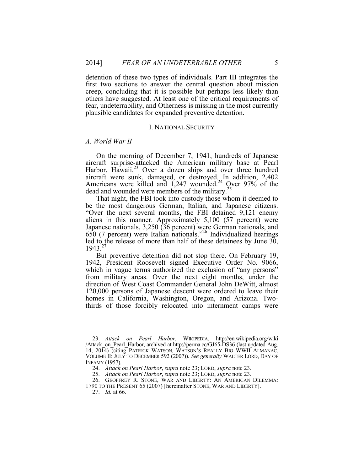detention of these two types of individuals. Part III integrates the first two sections to answer the central question about mission creep, concluding that it is possible but perhaps less likely than others have suggested. At least one of the critical requirements of fear, undeterrability, and Otherness is missing in the most currently plausible candidates for expanded preventive detention.

#### I. NATIONAL SECURITY

#### *A. World War II*

On the morning of December 7, 1941, hundreds of Japanese aircraft surprise-attacked the American military base at Pearl Harbor, Hawaii.<sup>23</sup> Over a dozen ships and over three hundred aircraft were sunk, damaged, or destroyed. In addition, 2,402 Americans were killed and 1,247 wounded.<sup>24</sup> Over 97% of the dead and wounded were members of the military.<sup>25</sup>

That night, the FBI took into custody those whom it deemed to be the most dangerous German, Italian, and Japanese citizens. "Over the next several months, the FBI detained 9,121 enemy aliens in this manner. Approximately 5,100 (57 percent) were Japanese nationals, 3,250 (36 percent) were German nationals, and 650 (7 percent) were Italian nationals."26 Individualized hearings led to the release of more than half of these detainees by June 30, 1943 $2^{7}$ 

But preventive detention did not stop there. On February 19, 1942, President Roosevelt signed Executive Order No. 9066, which in vague terms authorized the exclusion of "any persons" from military areas. Over the next eight months, under the direction of West Coast Commander General John DeWitt, almost 120,000 persons of Japanese descent were ordered to leave their homes in California, Washington, Oregon, and Arizona. Twothirds of those forcibly relocated into internment camps were

 <sup>23.</sup> *Attack on Pearl Harbor*, WIKIPEDIA, http://en.wikipedia.org/wiki /Attack\_on\_Pearl\_Harbor, archived at http://perma.cc/GJ65-DS36 (last updated Aug. 14, 2014) (citing PATRICK WATSON, WATSON'S REALLY BIG WWII ALMANAC, VOLUME II: JULY TO DECEMBER 592 (2007)). *See generally* WALTER LORD, DAY OF INFAMY (1957)*.* 

 <sup>24.</sup> *Attack on Pearl Harbor*, *supra* note 23; LORD, *supra* note 23.

 <sup>25.</sup> *Attack on Pearl Harbor*, *supra* note 23; LORD, *supra* note 23.

 <sup>26.</sup> GEOFFREY R. STONE, WAR AND LIBERTY: AN AMERICAN DILEMMA:

<sup>1790</sup> TO THE PRESENT 65 (2007) [hereinafter STONE, WAR AND LIBERTY].

 <sup>27.</sup> *Id.* at 66.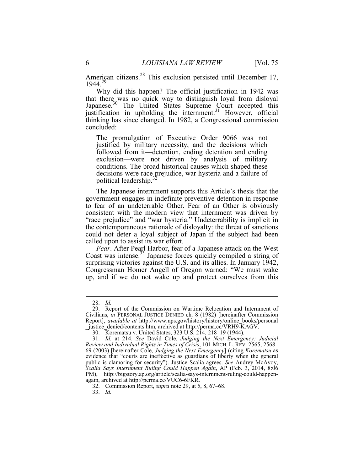American citizens.<sup>28</sup> This exclusion persisted until December 17, 1944.29

Why did this happen? The official justification in 1942 was that there was no quick way to distinguish loyal from disloyal Japanese.<sup>30</sup> The United States Supreme Court accepted this justification in upholding the internment.<sup>31</sup> However, official thinking has since changed. In 1982, a Congressional commission concluded:

The promulgation of Executive Order 9066 was not justified by military necessity, and the decisions which followed from it—detention, ending detention and ending exclusion—were not driven by analysis of military conditions. The broad historical causes which shaped these decisions were race prejudice, war hysteria and a failure of political leadership.<sup>3</sup>

The Japanese internment supports this Article's thesis that the government engages in indefinite preventive detention in response to fear of an undeterrable Other. Fear of an Other is obviously consistent with the modern view that internment was driven by "race prejudice" and "war hysteria." Undeterrability is implicit in the contemporaneous rationale of disloyalty: the threat of sanctions could not deter a loyal subject of Japan if the subject had been called upon to assist its war effort.

*Fear*. After Pearl Harbor, fear of a Japanese attack on the West Coast was intense.<sup>33</sup> Japanese forces quickly compiled a string of surprising victories against the U.S. and its allies. In January 1942, Congressman Homer Angell of Oregon warned: "We must wake up, and if we do not wake up and protect ourselves from this

1

33. *Id.*

 <sup>28.</sup> *Id.*

 <sup>29.</sup> Report of the Commission on Wartime Relocation and Internment of Civilians, *in* PERSONAL JUSTICE DENIED ch. 8 (1982) [hereinafter Commission Report], *available at* http://www.nps.gov/history/history/online\_books/personal \_justice\_denied/contents.htm, archived at http://perma.cc/VRH9-KAGV.

 <sup>30.</sup> Korematsu v. United States, 323 U.S. 214, 218–19 (1944).

 <sup>31.</sup> *Id.* at 214. *See* David Cole, *Judging the Next Emergency: Judicial Review and Individual Rights in Times of Crisis*, 101 MICH. L. REV. 2565, 2568– 69 (2003) [hereinafter Cole, *Judging the Next Emergency*] (citing *Korematsu* as evidence that "courts are ineffective as guardians of liberty when the general public is clamoring for security"). Justice Scalia agrees. *See* Audrey McAvoy, *Scalia Says Internment Ruling Could Happen Again*, AP (Feb. 3, 2014, 8:06 PM), http://bigstory.ap.org/article/scalia-says-internment-ruling-could-happenagain, archived at http://perma.cc/VUC6-6FKR.

 <sup>32.</sup> Commission Report, *supra* note 29, at 5, 8, 67–68.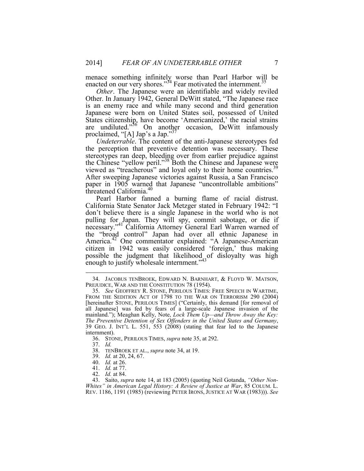menace something infinitely worse than Pearl Harbor will be enacted on our very shores."<sup>34</sup> Fear motivated the internment.<sup>35</sup>

*Other*. The Japanese were an identifiable and widely reviled Other. In January 1942, General DeWitt stated, "The Japanese race is an enemy race and while many second and third generation Japanese were born on United States soil, possessed of United States citizenship, have become 'Americanized,' the racial strains are undiluted."<sup>36</sup> On another occasion, DeWitt infamously proclaimed, "[A] Jap's a Jap."37

*Undeterrable*. The content of the anti-Japanese stereotypes fed the perception that preventive detention was necessary. These stereotypes ran deep, bleeding over from earlier prejudice against the Chinese "yellow peril."<sup>38</sup> Both the Chinese and Japanese were viewed as "treacherous" and loyal only to their home countries.<sup>39</sup> After sweeping Japanese victories against Russia, a San Francisco paper in 1905 warned that Japanese "uncontrollable ambitions" threatened California.<sup>40</sup>

Pearl Harbor fanned a burning flame of racial distrust. California State Senator Jack Metzger stated in February 1942: "I don't believe there is a single Japanese in the world who is not pulling for Japan. They will spy, commit sabotage, or die if necessary."41 California Attorney General Earl Warren warned of the "broad control" Japan had over all ethnic Japanese in America.<sup>42</sup> One commentator explained: "A Japanese-American citizen in 1942 was easily considered 'foreign,' thus making possible the judgment that likelihood of disloyalty was high enough to justify wholesale internment."<sup>43</sup>

37. *Id.*

- 38. TENBROEK ET AL., *supra* note 34, at 19.
- 39. *Id.* at 20, 24, 67.
- 40. *Id.* at 26.
- 41. *Id.* at 77.
- 42. *Id.* at 84.

 <sup>34.</sup> JACOBUS TENBROEK, EDWARD N. BARNHART, & FLOYD W. MATSON, PREJUDICE, WAR AND THE CONSTITUTION 78 (1954).<br>35. See GEOFFREY R. STONE, PERILOUS TIMES: FREE SPEECH IN WARTIME,

FROM THE SEDITION ACT OF 1798 TO THE WAR ON TERRORISM 290 (2004) [hereinafter STONE, PERILOUS TIMES] ("Certainly, this demand [for removal of all Japanese] was fed by fears of a large-scale Japanese invasion of the mainland."); Meaghan Kelly, Note, *Lock Them Up—and Throw Away the Key: The Preventive Detention of Sex Offenders in the United States and Germany*, 39 GEO. J. INT'L L. 551, 553 (2008) (stating that fear led to the Japanese internment).

 <sup>36.</sup> STONE, PERILOUS TIMES, *supra* note 35, at 292.

 <sup>43.</sup> Saito, *supra* note 14, at 183 (2005) (quoting Neil Gotanda, *"Other Non-Whites" in American Legal History: A Review of Justice at War*, 85 COLUM. L. REV. 1186, 1191 (1985) (reviewing PETER IRONS, JUSTICE AT WAR (1983))). *See*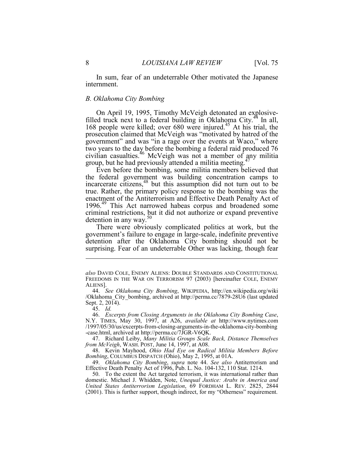In sum, fear of an undeterrable Other motivated the Japanese internment.

#### *B. Oklahoma City Bombing*

On April 19, 1995, Timothy McVeigh detonated an explosivefilled truck next to a federal building in Oklahoma City.<sup>44</sup> In all, 168 people were killed; over 680 were injured.<sup>45</sup> At his trial, the prosecution claimed that McVeigh was "motivated by hatred of the government" and was "in a rage over the events at Waco," where two years to the day before the bombing a federal raid produced 76 civilian casualties.46 McVeigh was not a member of any militia group, but he had previously attended a militia meeting.<sup>47</sup>

Even before the bombing, some militia members believed that the federal government was building concentration camps to incarcerate citizens,<sup>48</sup> but this assumption did not turn out to be true. Rather, the primary policy response to the bombing was the enactment of the Antiterrorism and Effective Death Penalty Act of 1996.49 This Act narrowed habeas corpus and broadened some criminal restrictions, but it did not authorize or expand preventive detention in any way. $50$ 

There were obviously complicated politics at work, but the government's failure to engage in large-scale, indefinite preventive detention after the Oklahoma City bombing should not be surprising. Fear of an undeterrable Other was lacking, though fear

1

 47. Richard Leiby, *Many Militia Groups Scale Back, Distance Themselves from McVeigh*, WASH. POST, June 14, 1997, at A08.

 48. Kevin Mayhood, *Ohio Had Eye on Radical Militia Members Before Bombing*, COLUMBUS DISPATCH (Ohio), May 2, 1995, at 01A.

 49. *Oklahoma City Bombing*, *supra* note 44. *See also* Antiterrorism and Effective Death Penalty Act of 1996, Pub. L. No. 104-132, 110 Stat. 1214.

 50. To the extent the Act targeted terrorism, it was international rather than domestic. Michael J. Whidden, Note, *Unequal Justice: Arabs in America and United States Antiterrorism Legislation*, 69 FORDHAM L. REV. 2825, 2844 (2001). This is further support, though indirect, for my "Otherness" requirement.

*also* DAVID COLE, ENEMY ALIENS: DOUBLE STANDARDS AND CONSTITUTIONAL FREEDOMS IN THE WAR ON TERRORISM 97 (2003) [hereinafter COLE, ENEMY ALIENS].

 <sup>44.</sup> *See Oklahoma City Bombing*, WIKIPEDIA, http://en.wikipedia.org/wiki /Oklahoma\_City\_bombing, archived at http://perma.cc/7879-28U6 (last updated Sept. 2, 2014).

 <sup>45.</sup> *Id.*

 <sup>46.</sup> *Excerpts from Closing Arguments in the Oklahoma City Bombing Case*, N.Y. TIMES, May 30, 1997, at A26, *available at* http://www.nytimes.com /1997/05/30/us/excerpts-from-closing-arguments-in-the-oklahoma-city-bombing -case.html, archived at http://perma.cc/7JGR-V6QK.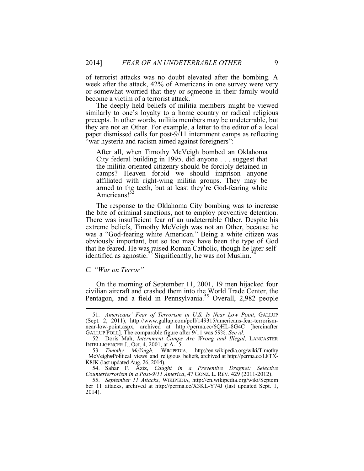of terrorist attacks was no doubt elevated after the bombing. A week after the attack, 42% of Americans in one survey were very or somewhat worried that they or someone in their family would become a victim of a terrorist attack.<sup>51</sup>

The deeply held beliefs of militia members might be viewed similarly to one's loyalty to a home country or radical religious precepts. In other words, militia members may be undeterrable, but they are not an Other. For example, a letter to the editor of a local paper dismissed calls for post-9/11 internment camps as reflecting "war hysteria and racism aimed against foreigners":

After all, when Timothy McVeigh bombed an Oklahoma City federal building in 1995, did anyone . . . suggest that the militia-oriented citizenry should be forcibly detained in camps? Heaven forbid we should imprison anyone affiliated with right-wing militia groups. They may be armed to the teeth, but at least they're God-fearing white Americans!<sup>52</sup>

The response to the Oklahoma City bombing was to increase the bite of criminal sanctions, not to employ preventive detention. There was insufficient fear of an undeterrable Other. Despite his extreme beliefs, Timothy McVeigh was not an Other, because he was a "God-fearing white American." Being a white citizen was obviously important, but so too may have been the type of God that he feared. He was raised Roman Catholic, though he later selfidentified as agnostic.<sup>53</sup> Significantly, he was not Muslim.<sup>54</sup>

#### *C. "War on Terror"*

1

On the morning of September 11, 2001, 19 men hijacked four civilian aircraft and crashed them into the World Trade Center, the Pentagon, and a field in Pennsylvania.<sup>55</sup> Overall, 2,982 people

 <sup>51.</sup> *Americans' Fear of Terrorism in U.S. Is Near Low Point*, GALLUP (Sept. 2, 2011), http://www.gallup.com/poll/149315/americans-fear-terrorismnear-low-point.aspx, archived at http://perma.cc/6QHL-8G4C [hereinafter GALLUP POLL]. The comparable figure after 9/11 was 59%. See id.

<sup>52.</sup> Doris Mah, *Internment Camps Are Wrong and Illegal*, LANCASTER INTELLIGENCER J., Oct. 4, 2001, at A-15.

 <sup>53.</sup> *Timothy McVeigh*, WIKIPEDIA, http://en.wikipedia.org/wiki/Timothy \_McVeigh#Political\_views\_and\_religious\_beliefs, archived at http://perma.cc/L8TX- $\overline{\text{K8JK}}$  (last updated Aug. 26, 2014).

 <sup>54.</sup> Sahar F. Aziz, *Caught in a Preventive Dragnet: Selective Counterterrorism in a Post-9/11 America*, 47 GONZ. L. REV. 429 (2011-2012).

 <sup>55.</sup> *September 11 Attacks*, WIKIPEDIA, http://en.wikipedia.org/wiki/Septem ber\_11\_attacks, archived at http://perma.cc/X3KL-Y74J (last updated Sept. 1, 2014).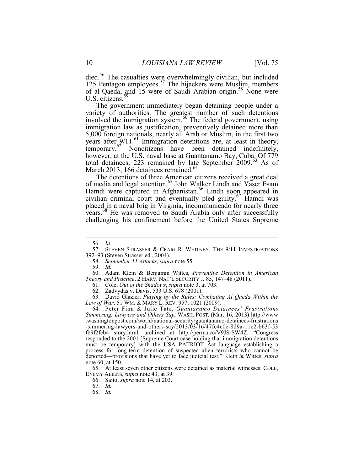died.<sup>56</sup> The casualties were overwhelmingly civilian, but included 125 Pentagon employees.<sup>57</sup> The hijackers were Muslim, members of al-Qaeda, and 15 were of Saudi Arabian origin.<sup>58</sup> None were U.S. citizens.<sup>59</sup>

The government immediately began detaining people under a variety of authorities. The greatest number of such detentions involved the immigration system.<sup>60</sup> The federal government, using immigration law as justification, preventively detained more than 5,000 foreign nationals, nearly all Arab or Muslim, in the first two years after  $9/11$ .<sup>61</sup> Immigration detentions are, at least in theory, temporary.<sup>62</sup> Noncitizens have been detained indefinitely, however, at the U.S. naval base at Guantanamo Bay, Cuba. Of 779 total detainees, 223 remained by late September 2009.<sup>63</sup> As of March 2013, 166 detainees remained.<sup>64</sup>

The detentions of three American citizens received a great deal of media and legal attention.<sup>65</sup> John Walker Lindh and Yaser Esam Hamdi were captured in Afghanistan.<sup>66</sup> Lindh soon appeared in civilian criminal court and eventually pled guilty.<sup>67</sup> Hamdi was placed in a naval brig in Virginia, incommunicado for nearly three years.<sup>68</sup> He was removed to Saudi Arabia only after successfully challenging his confinement before the United States Supreme

1

59. *Id.*

 60. Adam Klein & Benjamin Wittes, *Preventive Detention in American Theory and Practice*, 2 HARV. NAT'L SECURITY J. 85, 147–48 (2011).

61. Cole, *Out of the Shadows*, *supra* note 3, at 703.

62. Zadvydas v. Davis, 533 U.S. 678 (2001).

 63. David Glazier, *Playing by the Rules: Combating Al Qaeda Within the Law of War*, 51 WM. & MARY L. REV. 957, 1021 (2009).

 64. Peter Finn & Julie Tate, *Guantanamo Detainees' Frustrations Simmering, Lawyers and Others Say*, WASH. POST. (Mar. 16, 2013) http://www .washingtonpost.com/world/national-security/guantanamo-detainees-frustrations -simmering-lawyers-and-others-say/2013/03/16/47fc4c0e-8d9a-11e2-b63f-53 fb9f2fcb4 story.html, archived at http://perma.cc/V9JS-SW4Z. "Congress responded to the 2001 [Supreme Court case holding that immigration detentions must be temporary] with the USA PATRIOT Act language establishing a process for long-term detention of suspected alien terrorists who cannot be deported—provisions that have yet to face judicial test." Klein & Wittes, *supra* note 60, at 150.

 65. At least seven other citizens were detained as material witnesses. COLE, ENEMY ALIENS, *supra* note 43, at 39.

66. Saito, *supra* note 14, at 203.

 <sup>56.</sup> *Id.*

 <sup>57.</sup> STEVEN STRASSER & CRAIG R. WHITNEY, THE 9/11 INVESTIGATIONS 392–93 (Steven Strasser ed., 2004).

 <sup>58.</sup> *September 11 Attacks*, *supra* note 55.

 <sup>67.</sup> *Id.*

 <sup>68.</sup> *Id.*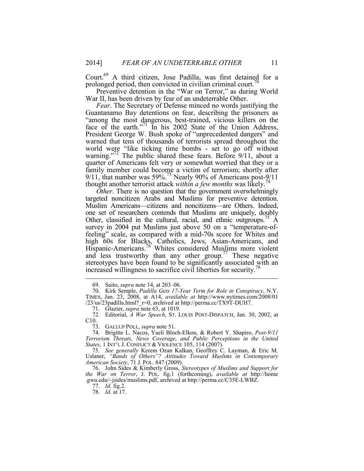Court.<sup>69</sup> A third citizen, Jose Padilla, was first detained for a prolonged period, then convicted in civilian criminal court.<sup>70</sup>

Preventive detention in the "War on Terror," as during World. War II, has been driven by fear of an undeterrable Other.

*Fear*. The Secretary of Defense minced no words justifying the Guantanamo Bay detentions on fear, describing the prisoners as "among the most dangerous, best-trained, vicious killers on the face of the earth."<sup>71</sup> In his 2002 State of the Union Address, President George W. Bush spoke of "unprecedented dangers" and warned that tens of thousands of terrorists spread throughout the world were "like ticking time bombs - set to go off without warning."<sup>72</sup> The public shared these fears. Before 9/11, about a quarter of Americans felt very or somewhat worried that they or a family member could become a victim of terrorism; shortly after 9/11, that number was  $59\%$ .<sup>73</sup> Nearly 90% of Americans post-9/11 thought another terrorist attack *within a few months* was likely.<sup>74</sup>

*Other*. There is no question that the government overwhelmingly targeted noncitizen Arabs and Muslims for preventive detention. Muslim Americans—citizens and noncitizens—are Others. Indeed, one set of researchers contends that Muslims are uniquely, doubly Other, classified in the cultural, racial, and ethnic outgroups.75 A survey in 2004 put Muslims just above 50 on a "temperature-offeeling" scale, as compared with a mid-70s score for Whites and high 60s for Blacks, Catholics, Jews, Asian-Americans, and Hispanic-Americans.<sup>76</sup> Whites considered Muslims more violent and less trustworthy than any other group.<sup>77</sup> These negative stereotypes have been found to be significantly associated with an increased willingness to sacrifice civil liberties for security.<sup>78</sup>

 76. John Sides & Kimberly Gross, *Stereotypes of Muslims and Support for the War on Terror*, J. POL. fig.1 (forthcoming), *available at* http://home .gwu.edu/~jsides/muslims.pdf, archived at http://perma.cc/C35E-LWBZ.

77. *Id.* fig.2.

 <sup>69.</sup> Saito, *supra* note 14, at 203–06.

 <sup>70.</sup> Kirk Semple, *Padilla Gets 17-Year Term for Role in Conspiracy*, N.Y. TIMES, Jan. 23, 2008, at A14, *available at* http://www.nytimes.com/2008/01  $/23$ /us/23padilla.html? r=0, archived at http://perma.cc/TX9T-DUH7.

 <sup>71.</sup> Glazier, *supra* note 63, at 1019.

 <sup>72.</sup> Editorial, *A War Speech*, ST. LOUIS POST-DISPATCH, Jan. 30, 2002, at C10.

 <sup>73.</sup> GALLUP POLL, *supra* note 51.

 <sup>74.</sup> Brigitte L. Nacos, Yaeli Bloch-Elkon, & Robert Y. Shapiro, *Post-9/11 Terrorism Threats, News Coverage, and Public Perceptions in the United States*, 1 INT'L J. CONFLICT & VIOLENCE 105, 114 (2007).

 <sup>75.</sup> *See generally* Kerem Ozan Kalkan, Geoffrey C. Layman, & Eric M. Uslaner, *"Bands of Others"? Attitudes Toward Muslims in Contemporary American Society*, 71 J. POL. 847 (2009).

 <sup>78.</sup> *Id.* at 17.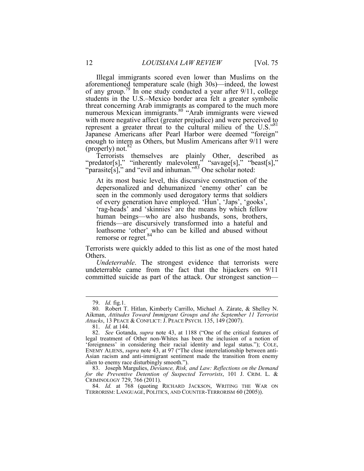Illegal immigrants scored even lower than Muslims on the aforementioned temperature scale (high 30s)—indeed, the lowest of any group.<sup>79</sup> In one study conducted a year after  $9/11$ , college students in the U.S.–Mexico border area felt a greater symbolic threat concerning Arab immigrants as compared to the much more numerous Mexican immigrants.80 "Arab immigrants were viewed with more negative affect (greater prejudice) and were perceived to represent a greater threat to the cultural milieu of the U.S."<sup>81</sup> Japanese Americans after Pearl Harbor were deemed "foreign" enough to intern as Others, but Muslim Americans after 9/11 were (properly) not. $82$ 

Terrorists themselves are plainly Other, described as "predator[s]," "inherently malevolent," "savage[s]," "beast[s]," "parasite[s]," and "evil and inhuman."<sup>83</sup> One scholar noted:

At its most basic level, this discursive construction of the depersonalized and dehumanized 'enemy other' can be seen in the commonly used derogatory terms that soldiers of every generation have employed. 'Hun', 'Japs', 'gooks', 'rag-heads' and 'skinnies' are the means by which fellow human beings—who are also husbands, sons, brothers, friends—are discursively transformed into a hateful and loathsome 'other' who can be killed and abused without remorse or regret.<sup>84</sup>

Terrorists were quickly added to this list as one of the most hated Others.

*Undeterrable*. The strongest evidence that terrorists were undeterrable came from the fact that the hijackers on 9/11 committed suicide as part of the attack. Our strongest sanction—

 <sup>79.</sup> *Id.* fig.1.

 <sup>80.</sup> Robert T. Hitlan, Kimberly Carrillo, Michael A. Zárate, & Shelley N. Aikman, *Attitudes Toward Immigrant Groups and the September 11 Terrorist Attacks*, 13 PEACE & CONFLICT: J. PEACE PSYCH. 135, 149 (2007).

 <sup>81.</sup> *Id.* at 144.

 <sup>82.</sup> *See* Gotanda, *supra* note 43, at 1188 ("One of the critical features of legal treatment of Other non-Whites has been the inclusion of a notion of 'foreignness' in considering their racial identity and legal status."); COLE, ENEMY ALIENS, *supra* note 43, at 97 ("The close interrelationship between anti-Asian racism and anti-immigrant sentiment made the transition from enemy alien to enemy race disturbingly smooth.").

 <sup>83.</sup> Joseph Margulies, *Deviance, Risk, and Law: Reflections on the Demand for the Preventive Detention of Suspected Terrorists*, 101 J. CRIM. L. & CRIMINOLOGY 729, 766 (2011).

 <sup>84.</sup> *Id.* at 768 (quoting RICHARD JACKSON, WRITING THE WAR ON TERRORISM: LANGUAGE, POLITICS, AND COUNTER-TERRORISM 60 (2005)).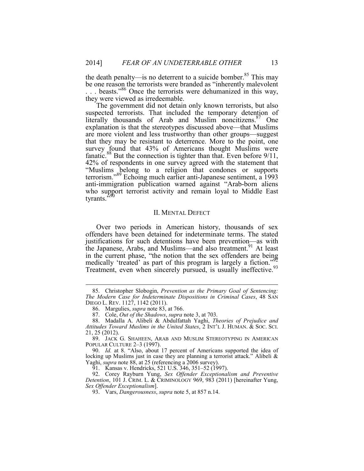the death penalty—is no deterrent to a suicide bomber.<sup>85</sup> This may be one reason the terrorists were branded as "inherently malevolent

. . . beasts."86 Once the terrorists were dehumanized in this way, they were viewed as irredeemable.

The government did not detain only known terrorists, but also suspected terrorists. That included the temporary detention of literally thousands of Arab and Muslim noncitizens. $87$  One explanation is that the stereotypes discussed above—that Muslims are more violent and less trustworthy than other groups—suggest that they may be resistant to deterrence. More to the point, one survey found that 43% of Americans thought Muslims were fanatic.<sup>88</sup> But the connection is tighter than that. Even before 9/11, 42% of respondents in one survey agreed with the statement that "Muslims belong to a religion that condones or supports terrorism."89 Echoing much earlier anti-Japanese sentiment, a 1993 anti-immigration publication warned against "Arab-born aliens who support terrorist activity and remain loyal to Middle East tyrants.'

#### II. MENTAL DEFECT

Over two periods in American history, thousands of sex offenders have been detained for indeterminate terms. The stated justifications for such detentions have been prevention—as with the Japanese, Arabs, and Muslims—and also treatment.<sup>91</sup> At least in the current phase, "the notion that the sex offenders are being medically 'treated' as part of this program is largely a fiction." $\frac{92}{2}$ Treatment, even when sincerely pursued, is usually ineffective.<sup>93</sup>

<u>.</u>

 88. Madalla A. Alibeli & Abdulfattah Yaghi, *Theories of Prejudice and Attitudes Toward Muslims in the United States*, 2 INT'L J. HUMAN. & SOC. SCI. 21, 25 (2012).

91. Kansas v. Hendricks, 521 U.S. 346, 351–52 (1997).

 92. Corey Rayburn Yung, *Sex Offender Exceptionalism and Preventive Detention*, 101 J. CRIM. L. & CRIMINOLOGY 969, 983 (2011) [hereinafter Yung, *Sex Offender Exceptionalism*].

 <sup>85.</sup> Christopher Slobogin, *Prevention as the Primary Goal of Sentencing: The Modern Case for Indeterminate Dispositions in Criminal Cases*, 48 SAN DIEGO L. REV. 1127, 1142 (2011).

 <sup>86.</sup> Margulies, *supra* note 83, at 766.

 <sup>87.</sup> Cole, *Out of the Shadows*, *supra* note 3, at 703.

 <sup>89.</sup> JACK G. SHAHEEN, ARAB AND MUSLIM STEREOTYPING IN AMERICAN POPULAR CULTURE 2–3 (1997).

 <sup>90.</sup> *Id.* at 8. "Also, about 17 percent of Americans supported the idea of locking up Muslims just in case they are planning a terrorist attack." Alibeli & Yaghi, *supra* note 88, at 25 (referencing a 2006 survey).

 <sup>93.</sup> Vars, *Dangerousness*, *supra* note 5, at 857 n.14.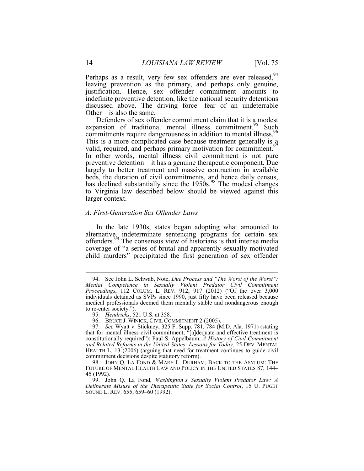Perhaps as a result, very few sex offenders are ever released.<sup>94</sup> leaving prevention as the primary, and perhaps only genuine, justification. Hence, sex offender commitment amounts to indefinite preventive detention, like the national security detentions discussed above. The driving force—fear of an undeterrable Other—is also the same.

Defenders of sex offender commitment claim that it is a modest expansion of traditional mental illness commitment.<sup>95</sup> Such commitments require dangerousness in addition to mental illness.<sup>96</sup> This is a more complicated case because treatment generally is a valid, required, and perhaps primary motivation for commitment.<sup>97</sup> In other words, mental illness civil commitment is not pure preventive detention—it has a genuine therapeutic component. Due largely to better treatment and massive contraction in available beds, the duration of civil commitments, and hence daily census, has declined substantially since the  $1950s^{98}$ . The modest changes to Virginia law described below should be viewed against this larger context.

#### *A. First-Generation Sex Offender Laws*

In the late 1930s, states began adopting what amounted to alternative, indeterminate sentencing programs for certain sex offenders.<sup>99</sup> The consensus view of historians is that intense media coverage of "a series of brutal and apparently sexually motivated child murders" precipitated the first generation of sex offender

 <sup>94.</sup> See John L. Schwab, Note, *Due Process and "The Worst of the Worst": Mental Competence in Sexually Violent Predator Civil Commitment Proceedings*, 112 COLUM. L. REV. 912, 917 (2012) ("Of the over 3,000 individuals detained as SVPs since 1990, just fifty have been released because medical professionals deemed them mentally stable and nondangerous enough to re-enter society.").

 <sup>95.</sup> *Hendricks*, 521 U.S. at 358.

 <sup>96.</sup> BRUCE J. WINICK, CIVIL COMMITMENT 2 (2005).

 <sup>97.</sup> *See* Wyatt v. Stickney, 325 F. Supp. 781, 784 (M.D. Ala. 1971) (stating that for mental illness civil commitment, "[a]dequate and effective treatment is constitutionally required"); Paul S. Appelbaum, *A History of Civil Commitment and Related Reforms in the United States: Lessons for Today*, 25 DEV. MENTAL HEALTH L. 13 (2006) (arguing that need for treatment continues to guide civil commitment decisions despite statutory reform).

<sup>98.</sup> JOHN Q. LA FOND & MARY L. DURHAM, BACK TO THE ASYLUM: THE FUTURE OF MENTAL HEALTH LAW AND POLICY IN THE UNITED STATES 87, 144– 45 (1992).

 <sup>99.</sup> John Q. La Fond, *Washington's Sexually Violent Predator Law: A Deliberate Misuse of the Therapeutic State for Social Control*, 15 U. PUGET SOUND L. REV. 655, 659–60 (1992).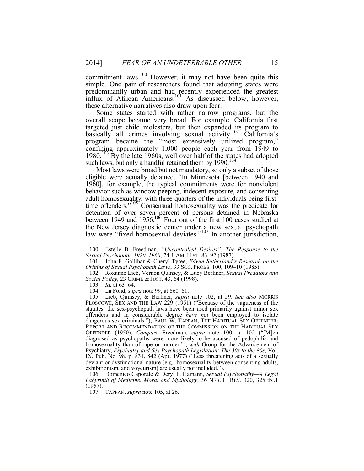commitment laws.<sup>100</sup> However, it may not have been quite this simple. One pair of researchers found that adopting states were predominantly urban and had recently experienced the greatest influx of African Americans.<sup>101</sup> As discussed below, however, these alternative narratives also draw upon fear.

Some states started with rather narrow programs, but the overall scope became very broad. For example, California first targeted just child molesters, but then expanded its program to basically all crimes involving sexual activity.<sup>102</sup> California's program became the "most extensively utilized program," confining approximately 1,000 people each year from 1949 to 1980.<sup>103</sup> By the late 1960s, well over half of the states had adopted such laws, but only a handful retained them by  $1990$ .<sup>104</sup>

Most laws were broad but not mandatory, so only a subset of those eligible were actually detained. "In Minnesota [between 1940 and 1960], for example, the typical commitments were for nonviolent behavior such as window peeping, indecent exposure, and consenting adult homosexuality, with three-quarters of the individuals being firsttime offenders."<sup>105'</sup> Consensual homosexuality was the predicate for detention of over seven percent of persons detained in Nebraska between 1949 and  $1956$ .<sup>106</sup> Four out of the first 100 cases studied at the New Jersey diagnostic center under a new sexual psychopath law were "fixed homosexual deviates."<sup>107</sup> In another jurisdiction,

1

 105. Lieb, Quinsey, & Berliner, *supra* note 102, at 59. *See also* MORRIS PLOSCOWE, SEX AND THE LAW 229 (1951) ("Because of the vagueness of the statutes, the sex-psychopath laws have been used primarily against minor sex offenders and in considerable degree *have not* been employed to isolate dangerous sex criminals."); PAUL W. TAPPAN, THE HABITUAL SEX OFFENDER: REPORT AND RECOMMENDATION OF THE COMMISSION ON THE HABITUAL SEX OFFENDER (1950). *Compare* Freedman, *supra* note 100, at 102 ("[M]en diagnosed as psychopaths were more likely to be accused of pedophilia and homosexuality than of rape or murder."), *with* Group for the Advancement of Psychiatry, *Psychiatry and Sex Psychopath Legislation: The 30s to the 80s*, Vol. IX, Pub. No.  $98$ , p.  $831$ ,  $842$  (Apr. 1977) ("Less threatening acts of a sexually deviant or dysfunctional nature (e.g., homosexuality between consenting adults, exhibitionism, and voyeurism) are usually not included.").

 106. Domenico Caporale & Deryl F. Hamann, *Sexual Psychopathy—A Legal Labyrinth of Medicine, Moral and Mythology*, 36 NEB. L. REV. 320, 325 tbl.1 (1957).

107. TAPPAN, *supra* note 105, at 26.

 <sup>100.</sup> Estelle B. Freedman, *"Uncontrolled Desires": The Response to the Sexual Psychopath, 1920*–*1960*, 74 J. AM. HIST. 83, 92 (1987).

 <sup>101.</sup> John F. Gallihar & Cheryl Tyree, *Edwin Sutherland's Research on the Origins of Sexual Psychopath Laws*, 33 SOC. PROBS. 100, 109–10 (1985).

 <sup>102.</sup> Roxanne Lieb, Vernon Quinsey, & Lucy Berliner, *Sexual Predators and Social Policy*, 23 CRIME & JUST. 43, 64 (1998).

 <sup>103.</sup> *Id.* at 63–64.

 <sup>104.</sup> La Fond, *supra* note 99, at 660–61.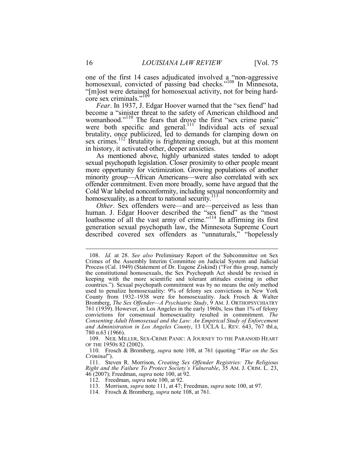one of the first 14 cases adjudicated involved  $a_{\alpha}$  non-aggressive homosexual, convicted of passing bad checks."<sup>108</sup> In Minnesota, "[m]ost were detained for homosexual activity, not for being hardcore sex criminals."<sup>109</sup>

*Fear*. In 1937, J. Edgar Hoover warned that the "sex fiend" had become a "sinister threat to the safety of American childhood and womanhood."<sup>110</sup> The fears that drove the first "sex crime panic" were both specific and general.<sup>111</sup> Individual acts of sexual brutality, once publicized, led to demands for clamping down on sex crimes.<sup>112</sup> Brutality is frightening enough, but at this moment in history, it activated other, deeper anxieties.

As mentioned above, highly urbanized states tended to adopt sexual psychopath legislation. Closer proximity to other people meant more opportunity for victimization. Growing populations of another minority group—African Americans—were also correlated with sex offender commitment. Even more broadly, some have argued that the Cold War labeled nonconformity, including sexual nonconformity and homosexuality, as a threat to national security.<sup>113</sup>

*Other*. Sex offenders were—and are—perceived as less than human. J. Edgar Hoover described the "sex fiend" as the "most loathsome of all the vast army of crime."<sup>114</sup> In affirming its first generation sexual psychopath law, the Minnesota Supreme Court described covered sex offenders as "unnaturals," "hopelessly

114. Frosch & Bromberg, *supra* note 108, at 761.

<u>.</u>

 <sup>108.</sup> *Id.* at 28. *See also* Preliminary Report of the Subcommittee on Sex Crimes of the Assembly Interim Committee on Judicial System and Judicial Process (Cal. 1949) (Statement of Dr. Eugene Ziskind) ("For this group, namely the constitutional homosexuals, the Sex Psychopath Act should be revised in keeping with the more scientific and tolerant attitudes existing in other countries."). Sexual psychopath commitment was by no means the only method used to penalize homosexuality: 9% of felony sex convictions in New York County from 1932–1938 were for homosexuality. Jack Frosch & Walter Bromberg, *The Sex Offender—A Psychiatric Study*, 9 AM. J. ORTHOPSYCHIATRY 761 (1939). However, in Los Angeles in the early 1960s, less than 1% of felony convictions for consensual homosexuality resulted in commitment. *The Consenting Adult Homosexual and the Law: An Empirical Study of Enforcement and Administration in Los Angeles County*, 13 UCLA L. REV. 643, 767 tbl.a, 780 n.63 (1966).

 <sup>109.</sup> NEIL MILLER, SEX-CRIME PANIC: A JOURNEY TO THE PARANOID HEART OF THE 1950S 82 (2002).

 <sup>110.</sup> Frosch & Bromberg, *supra* note 108, at 761 (quoting "*War on the Sex Criminal*").

 <sup>111.</sup> Steven R. Morrison, *Creating Sex Offender Registries: The Religious Right and the Failure To Protect Society's Vulnerable*, 35 AM. J. CRIM. L. 23, 46 (2007); Freedman, *supra* note 100, at 92.

 <sup>112.</sup> Freedman, *supra* note 100, at 92.

 <sup>113.</sup> Morrison, *supra* note 111, at 47; Freedman, *supra* note 100, at 97.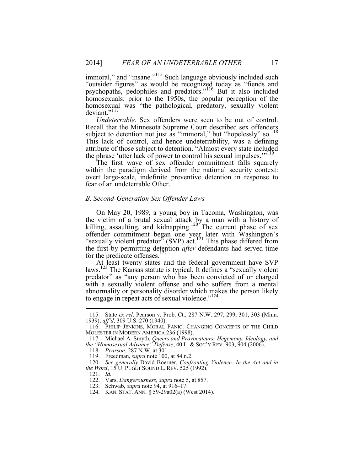immoral," and "insane."<sup>115</sup> Such language obviously included such "outsider figures" as would be recognized today as "fiends and psychopaths, pedophiles and predators."<sup>116</sup> But it also included homosexuals: prior to the 1950s, the popular perception of the homosexual was "the pathological, predatory, sexually violent deviant."<sup>117</sup>

*Undeterrable*. Sex offenders were seen to be out of control. Recall that the Minnesota Supreme Court described sex offenders subject to detention not just as "immoral," but "hopelessly" so. $118$ This lack of control, and hence undeterrability, was a defining attribute of those subject to detention. "Almost every state included the phrase 'utter lack of power to control his sexual impulses.'"<sup>119</sup><br>The first wave of sex offender commitment falls squarely

within the paradigm derived from the national security context: overt large-scale, indefinite preventive detention in response to fear of an undeterrable Other.

#### *B. Second-Generation Sex Offender Laws*

On May 20, 1989, a young boy in Tacoma, Washington, was the victim of a brutal sexual attack by a man with a history of killing, assaulting, and kidnapping.<sup>120</sup> The current phase of sex offender commitment began one year later with Washington's "sexually violent predator" (SVP) act.<sup>121</sup> This phase differed from the first by permitting detention *after* defendants had served time for the predicate offenses.<sup>122</sup>

At least twenty states and the federal government have SVP laws.123 The Kansas statute is typical. It defines a "sexually violent predator" as "any person who has been convicted of or charged with a sexually violent offense and who suffers from a mental abnormality or personality disorder which makes the person likely to engage in repeat acts of sexual violence." $124$ 

 <sup>115.</sup> State *ex rel*. Pearson v. Prob. Ct., 287 N.W. 297, 299, 301, 303 (Minn. 1939), *aff'd*, 309 U.S. 270 (1940).

 <sup>116.</sup> PHILIP JENKINS, MORAL PANIC: CHANGING CONCEPTS OF THE CHILD MOLESTER IN MODERN AMERICA 236 (1998).

 <sup>117.</sup> Michael A. Smyth, *Queers and Provocateurs: Hegemony, Ideology, and the "Homosexual Advance" Defense*, 40 L. & SOC'Y REV. 903, 904 (2006).

 <sup>118.</sup> *Pearson*, 287 N.W. at 301.

 <sup>119.</sup> Freedman, *supra* note 100, at 84 n.2.

 <sup>120.</sup> *See generally* David Boerner, *Confronting Violence: In the Act and in the Word*, 15 U. PUGET SOUND L. REV. 525 (1992).

 <sup>121.</sup> *Id.*

 <sup>122.</sup> Vars, *Dangerousness*, *supra* note 5, at 857.

 <sup>123.</sup> Schwab, *supra* note 94, at 916–17.

 <sup>124.</sup> KAN. STAT. ANN. § 59-29a02(a) (West 2014).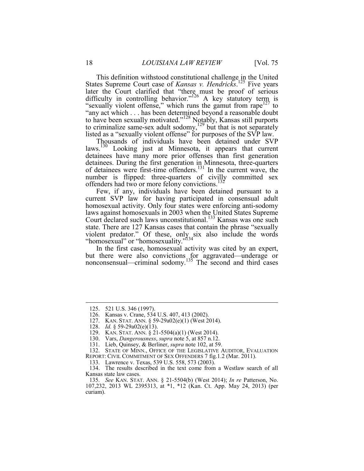This definition withstood constitutional challenge in the United States Supreme Court case of *Kansas v. Hendricks*. 125 Five years later the Court clarified that "there must be proof of serious difficulty in controlling behavior."<sup>126</sup> A key statutory term is "sexually violent offense," which runs the gamut from rape<sup>127</sup> to "any act which . . . has been determined beyond a reasonable doubt to have been sexually motivated."128 Notably, Kansas still purports to criminalize same-sex adult sodomy,  $129$  but that is not separately listed as a "sexually violent offense" for purposes of the SVP law.

Thousands of individuals have been detained under SVP laws.130 Looking just at Minnesota, it appears that current detainees have many more prior offenses than first generation detainees. During the first generation in Minnesota, three-quarters of detainees were first-time offenders.131 In the current wave, the number is flipped: three-quarters of civilly committed sex offenders had two or more felony convictions.<sup>132</sup>

Few, if any, individuals have been detained pursuant to a current SVP law for having participated in consensual adult homosexual activity. Only four states were enforcing anti-sodomy laws against homosexuals in 2003 when the United States Supreme Court declared such laws unconstitutional.<sup>133</sup> Kansas was one such state. There are 127 Kansas cases that contain the phrase "sexually violent predator." Of these, only six also include the words "homosexual" or "homosexuality."<sup>134</sup>

In the first case, homosexual activity was cited by an expert, but there were also convictions for aggravated—underage or nonconsensual—criminal sodomy.<sup>135</sup> The second and third cases

<u>.</u>

 <sup>125. 521</sup> U.S. 346 (1997).

 <sup>126.</sup> Kansas v. Crane, 534 U.S. 407, 413 (2002).

 <sup>127.</sup> KAN. STAT. ANN. § 59-29a02(e)(1) (West 2014).

 <sup>128.</sup> *Id.* § 59-29a02(e)(13).

 <sup>129.</sup> KAN. STAT. ANN. § 21-5504(a)(1) (West 2014).

 <sup>130.</sup> Vars, *Dangerousness*, *supra* note 5, at 857 n.12.

 <sup>131.</sup> Lieb, Quinsey, & Berliner, *supra* note 102, at 59.

 <sup>132.</sup> STATE OF MINN., OFFICE OF THE LEGISLATIVE AUDITOR, EVALUATION REPORT: CIVIL COMMITMENT OF SEX OFFENDERS 7 fig.1.2 (Mar. 2011).

 <sup>133.</sup> Lawrence v. Texas, 539 U.S. 558, 573 (2003).

 <sup>134.</sup> The results described in the text come from a Westlaw search of all Kansas state law cases.

 <sup>135.</sup> *See* KAN. STAT. ANN. § 21-5504(b) (West 2014); *In re* Patterson, No. 107,232, 2013 WL 2395313, at \*1, \*12 (Kan. Ct. App. May 24, 2013) (per curiam).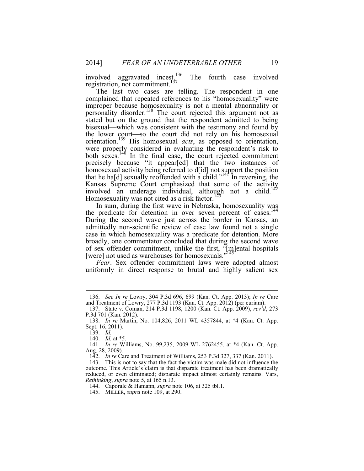involved aggravated incest.<sup>136</sup> The fourth case involved registration, not commitment.<sup>137</sup>

The last two cases are telling. The respondent in one complained that repeated references to his "homosexuality" were improper because homosexuality is not a mental abnormality or personality disorder.138 The court rejected this argument not as stated but on the ground that the respondent admitted to being bisexual—which was consistent with the testimony and found by the lower court—so the court did not rely on his homosexual orientation.139 His homosexual *acts*, as opposed to orientation, were properly considered in evaluating the respondent's risk to both sexes.<sup>140</sup> In the final case, the court rejected commitment precisely because "it appear[ed] that the two instances of homosexual activity being referred to d[id] not support the position that he ha[d] sexually reoffended with a child."<sup>141</sup> In reversing, the Kansas Supreme Court emphasized that some of the activity involved an underage individual, although not a child.142 Homosexuality was not cited as a risk factor.<sup>143</sup>

In sum, during the first wave in Nebraska, homosexuality was the predicate for detention in over seven percent of cases.<sup>144</sup> During the second wave just across the border in Kansas, an admittedly non-scientific review of case law found not a single case in which homosexuality was a predicate for detention. More broadly, one commentator concluded that during the second wave of sex offender commitment, unlike the first, "[m]ental hospitals [were] not used as warehouses for homosexuals."<sup>145</sup>

*Fear*. Sex offender commitment laws were adopted almost uniformly in direct response to brutal and highly salient sex

1

142. *In re* Care and Treatment of Williams, 253 P.3d 327, 337 (Kan. 2011).

144. Caporale & Hamann, *supra* note 106, at 325 tbl.1.

 <sup>136.</sup> *See In re* Lowry, 304 P.3d 696, 699 (Kan. Ct. App. 2013); *In re* Care and Treatment of Lowry, 277 P.3d 1193 (Kan. Ct. App. 2012) (per curiam).

 <sup>137.</sup> State v. Coman, 214 P.3d 1198, 1200 (Kan. Ct. App. 2009), *rev'd*, 273 P.3d 701 (Kan. 2012).

 <sup>138.</sup> *In re* Martin, No. 104,826, 2011 WL 4357844, at \*4 (Kan. Ct. App. Sept. 16, 2011).

 <sup>139.</sup> *Id.*

 <sup>140.</sup> *Id.* at \*5.

 <sup>141.</sup> *In re* Williams, No. 99,235, 2009 WL 2762455, at \*4 (Kan. Ct. App. Aug. 28, 2009).

 <sup>143.</sup> This is not to say that the fact the victim was male did not influence the outcome. This Article's claim is that disparate treatment has been dramatically reduced, or even eliminated; disparate impact almost certainly remains. Vars, *Rethinking*, *supra* note 5, at 165 n.13.

 <sup>145.</sup> MILLER, *supra* note 109, at 290.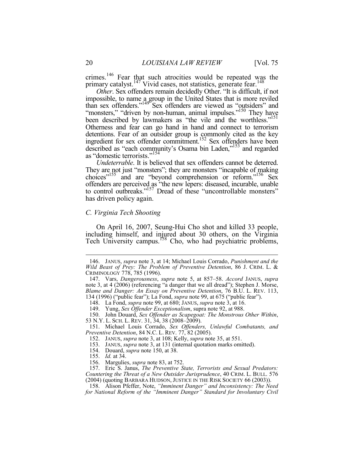crimes.<sup>146</sup> Fear that such atrocities would be repeated was the primary catalyst.<sup>147</sup> Vivid cases, not statistics, generate fear.<sup>148</sup> *Other*. Sex offenders remain decidedly Other. "It is difficult, if not

impossible, to name a group in the United States that is more reviled than sex offenders."<sup>149</sup> Sex offenders are viewed as "outsiders" and "monsters," "driven by non-human, animal impulses."<sup>150</sup> They have been described by lawmakers as "the vile and the worthless."<sup>151</sup> Otherness and fear can go hand in hand and connect to terrorism detentions. Fear of an outsider group is commonly cited as the key ingredient for sex offender commitment.<sup>152</sup> Sex offenders have been described as "each community's Osama bin Laden,"<sup>153</sup> and regarded as "domestic terrorists."<sup>154</sup>

*Undeterrable*. It is believed that sex offenders cannot be deterred. They are not just "monsters"; they are monsters "incapable of making choices"155 and are "beyond comprehension or reform."156 Sex offenders are perceived as "the new lepers: diseased, incurable, unable to control outbreaks."<sup>157</sup> Dread of these "uncontrollable monsters" has driven policy again.

#### *C. Virginia Tech Shooting*

On April 16, 2007, Seung-Hui Cho shot and killed 33 people, including himself, and injured about 30 others, on the Virginia Tech University campus.<sup>158</sup> Cho, who had psychiatric problems,

 151. Michael Louis Corrado, *Sex Offenders, Unlawful Combatants, and Preventive Detention*, 84 N.C. L. REV. 77, 82 (2005).

- 154. Douard, *supra* note 150, at 38.
- 155. *Id.* at 34.
- 156. Margulies, *supra* note 83, at 752.

 157. Eric S. Janus, *The Preventive State, Terrorists and Sexual Predators: Countering the Threat of a New Outsider Jurisprudence*, 40 CRIM. L. BULL. 576 (2004) (quoting BARBARA HUDSON, JUSTICE IN THE RISK SOCIETY 66 (2003)).

 <sup>146.</sup> JANUS, *supra* note 3, at 14; Michael Louis Corrado, *Punishment and the Wild Beast of Prey: The Problem of Preventive Detention*, 86 J. CRIM. L. & CRIMINOLOGY 778, 785 (1996).

 <sup>147.</sup> Vars, *Dangerousness*, *supra* note 5, at 857–58. *Accord* JANUS, *supra* note 3, at 4 (2006) (referencing "a danger that we all dread"); Stephen J. Morse, *Blame and Danger: An Essay on Preventive Detention*, 76 B.U. L. REV. 113, 134 (1996) ("public fear"); La Fond, *supra* note 99, at 675 ("public fear").

 <sup>148.</sup> La Fond, *supra* note 99, at 680; JANUS, *supra* note 3, at 16.

 <sup>149.</sup> Yung, *Sex Offender Exceptionalism*, supra note 92, at 988.

 <sup>150.</sup> John Douard, *Sex Offender as Scapegoat: The Monstrous Other Within*, 53 N.Y. L. SCH. L. REV. 31, 34, 38 (2008–2009).

 <sup>152.</sup> JANUS, *supra* note 3, at 108; Kelly, *supra* note 35, at 551.

 <sup>153.</sup> JANUS, *supra* note 3, at 131 (internal quotation marks omitted).

 <sup>158.</sup> Alison Pfeffer, Note, *"Imminent Danger" and Inconsistency: The Need for National Reform of the "Imminent Danger" Standard for Involuntary Civil*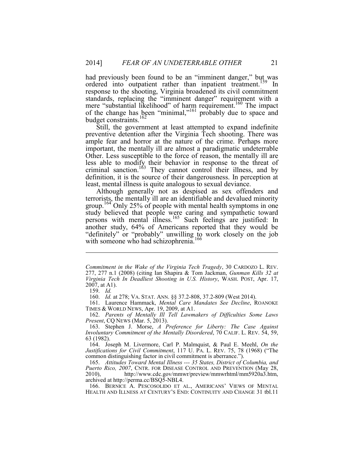had previously been found to be an "imminent danger," but was ordered into outpatient rather than inpatient treatment.<sup>159</sup> In response to the shooting, Virginia broadened its civil commitment standards, replacing the "imminent danger" requirement with a mere "substantial likelihood" of harm requirement.<sup>160</sup> The impact of the change has been "minimal,"<sup>161</sup> probably due to space and budget constraints.<sup>162</sup>

Still, the government at least attempted to expand indefinite preventive detention after the Virginia Tech shooting. There was ample fear and horror at the nature of the crime. Perhaps more important, the mentally ill are almost a paradigmatic undeterrable Other. Less susceptible to the force of reason, the mentally ill are less able to modify their behavior in response to the threat of criminal sanction.<sup>163</sup> They cannot control their illness, and by definition, it is the source of their dangerousness. In perception at least, mental illness is quite analogous to sexual deviance.

Although generally not as despised as sex offenders and terrorists, the mentally ill are an identifiable and devalued minority group.<sup>164</sup> Only 25% of people with mental health symptoms in one study believed that people were caring and sympathetic toward persons with mental illness.<sup>165</sup> Such feelings are justified: In another study, 64% of Americans reported that they would be "definitely" or "probably" unwilling to work closely on the job with someone who had schizophrenia.<sup>166</sup>

1

 161. Laurence Hammack, *Mental Care Mandates See Decline*, ROANOKE TIMES & WORLD NEWS, Apr. 19, 2009, at A1.

 162. *Parents of Mentally Ill Tell Lawmakers of Difficulties Some Laws Present*, CQ NEWS (Mar. 5, 2013).

 163. Stephen J. Morse, *A Preference for Liberty: The Case Against Involuntary Commitment of the Mentally Disordered*, 70 CALIF. L. REV. 54, 59, 63 (1982).

 164. Joseph M. Livermore, Carl P. Malmquist, & Paul E. Meehl, *On the Justifications for Civil Commitment*, 117 U. PA. L. REV. 75, 78 (1968) ("The common distinguishing factor in civil commitment is aberrance.").

 165. *Attitudes Toward Mental Illness --- 35 States, District of Columbia, and Puerto Rico, 2007*, CNTR. FOR DISEASE CONTROL AND PREVENTION (May 28, 2010), http://www.cdc.gov/mmwr/preview/mmwrhtml/mm5920a3.htm, archived at http://perma.cc/BSQ5-NBL4.

 166. BERNICE A. PESCOSOLIDO ET AL., AMERICANS' VIEWS OF MENTAL HEALTH AND ILLNESS AT CENTURY'S END: CONTINUITY AND CHANGE 31 tbl.11

*Commitment in the Wake of the Virginia Tech Tragedy*, 30 CARDOZO L. REV. 277, 277 n.1 (2008) (citing Ian Shapira & Tom Jackman, *Gunman Kills 32 at Virginia Tech In Deadliest Shooting in U.S. History*, WASH. POST, Apr. 17,  $2007$ , at A1).

 <sup>159.</sup> *Id.*

 <sup>160.</sup> *Id.* at 278; VA. STAT. ANN. §§ 37.2-808, 37.2-809 (West 2014).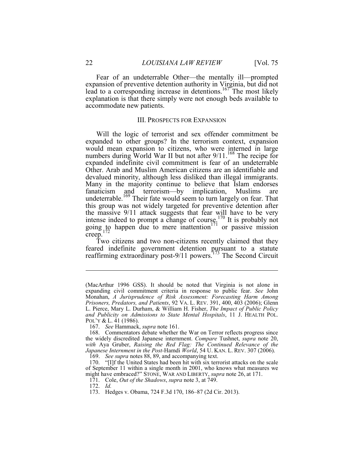Fear of an undeterrable Other—the mentally ill—prompted expansion of preventive detention authority in Virginia, but did not lead to a corresponding increase in detentions.<sup>167</sup> The most likely explanation is that there simply were not enough beds available to accommodate new patients.

#### III. PROSPECTS FOR EXPANSION

Will the logic of terrorist and sex offender commitment be expanded to other groups? In the terrorism context, expansion would mean expansion to citizens, who were interned in large numbers during World War II but not after 9/11.<sup>168</sup> The recipe for expanded indefinite civil commitment is fear of an undeterrable Other. Arab and Muslim American citizens are an identifiable and devalued minority, although less disliked than illegal immigrants. Many in the majority continue to believe that Islam endorses fanaticism and terrorism—by implication, Muslims are undeterrable.<sup>169</sup> Their fate would seem to turn largely on fear. That this group was not widely targeted for preventive detention after the massive 9/11 attack suggests that fear will have to be very intense indeed to prompt a change of course.<sup>170</sup> It is probably not going to happen due to mere inattention<sup>171</sup> or passive mission  $creep.<sup>17</sup>$ 

Two citizens and two non-citizens recently claimed that they feared indefinite government detention pursuant to a statute reaffirming extraordinary post-9/11 powers.<sup>173</sup> The Second Circuit

<sup>(</sup>MacArthur 1996 GSS). It should be noted that Virginia is not alone in expanding civil commitment criteria in response to public fear. *See* John Monahan, *A Jurisprudence of Risk Assessment: Forecasting Harm Among Prisoners, Predators, and Patients*, 92 VA. L. REV. 391, 400, 403 (2006); Glenn L. Pierce, Mary L. Durham, & William H. Fisher, *The Impact of Public Policy and Publicity on Admissions to State Mental Hospitals*, 11 J. HEALTH POL. POL'Y & L. 41 (1986).

 <sup>167.</sup> *See* Hammack, *supra* note 161.

 <sup>168.</sup> Commentators debate whether the War on Terror reflects progress since the widely discredited Japanese internment. *Compare* Tushnet, *supra* note 20, *with* Aya Gruber, *Raising the Red Flag: The Continued Relevance of the Japanese Internment in the Post-*Hamdi *World*, 54 U. KAN. L. REV. 307 (2006).

 <sup>169.</sup> *See supra* notes 88, 89, and accompanying text.

 <sup>170. &</sup>quot;[I]f the United States had been hit with six terrorist attacks on the scale of September 11 within a single month in 2001, who knows what measures we might have embraced?" STONE, WAR AND LIBERTY, *supra* note 26, at 171.

 <sup>171.</sup> Cole, *Out of the Shadows*, *supra* note 3, at 749.

 <sup>172.</sup> *Id.*

 <sup>173.</sup> Hedges v. Obama, 724 F.3d 170, 186–87 (2d Cir. 2013).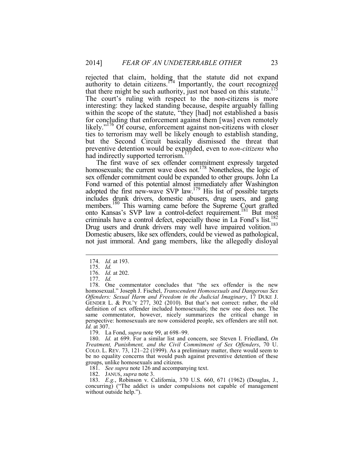rejected that claim, holding that the statute did not expand authority to detain citizens.<sup>174</sup> Importantly, the court recognized that there might be such authority, just not based on this statute.<sup>175</sup> The court's ruling with respect to the non-citizens is more interesting: they lacked standing because, despite arguably falling within the scope of the statute, "they [had] not established a basis for concluding that enforcement against them [was] even remotely likely."<sup>176</sup> Of course, enforcement against non-citizens with closer ties to terrorism may well be likely enough to establish standing, but the Second Circuit basically dismissed the threat that preventive detention would be expanded, even to *non-citizens* who had indirectly supported terrorism.<sup>177</sup>

The first wave of sex offender commitment expressly targeted homosexuals; the current wave does not.<sup>178</sup> Nonetheless, the logic of sex offender commitment could be expanded to other groups. John La Fond warned of this potential almost immediately after Washington adopted the first new-wave SVP law.<sup>179</sup> His list of possible targets includes drunk drivers, domestic abusers, drug users, and gang members.<sup>180</sup> This warning came before the Supreme Court grafted onto Kansas's SVP law a control-defect requirement.181 But most criminals have a control defect, especially those in La Fond's list. $\frac{182}{100}$ Drug users and drunk drivers may well have impaired volition.<sup>183</sup> Domestic abusers, like sex offenders, could be viewed as pathological, not just immoral. And gang members, like the allegedly disloyal

1

 178. One commentator concludes that "the sex offender is the new homosexual." Joseph J. Fischel, *Transcendent Homosexuals and Dangerous Sex Offenders: Sexual Harm and Freedom in the Judicial Imaginary*, 17 DUKE J. GENDER L. & POL'Y 277, 302 (2010). But that's not correct: rather, the old definition of sex offender included homosexuals; the new one does not. The same commentator, however, nicely summarizes the critical change in perspective: homosexuals are now considered people, sex offenders are still not. *Id.* at 307.

179. La Fond, *supra* note 99, at 698–99.

 180. *Id.* at 699. For a similar list and concern, see Steven I. Friedland, *On Treatment, Punishment, and the Civil Commitment of Sex Offenders*, 70 U. COLO. L. REV. 73, 121–22 (1999). As a preliminary matter, there would seem to be no equality concerns that would push against preventive detention of these groups, unlike homosexuals and citizens.

181. *See supra* note 126 and accompanying text.

182. JANUS, *supra* note 3.

 183. *E.g.*, Robinson v. California, 370 U.S. 660, 671 (1962) (Douglas, J., concurring) ("The addict is under compulsions not capable of management without outside help.").

 <sup>174.</sup> *Id.* at 193.

 <sup>175.</sup> *Id.*

 <sup>176.</sup> *Id.* at 202.

 <sup>177.</sup> *Id.*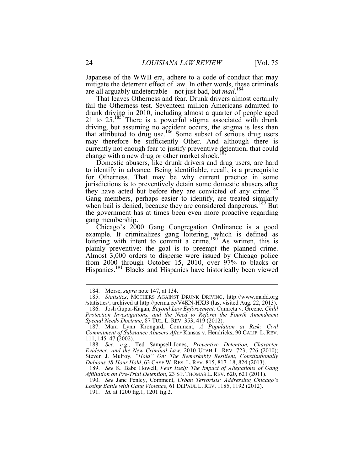Japanese of the WWII era, adhere to a code of conduct that may mitigate the deterrent effect of law. In other words, these criminals are all arguably undeterrable—not just bad, but *mad*. 184

That leaves Otherness and fear. Drunk drivers almost certainly fail the Otherness test. Seventeen million Americans admitted to drunk driving in 2010, including almost a quarter of people aged 21 to  $25.^{185}$  There is a powerful stigma associated with drunk driving, but assuming no accident occurs, the stigma is less than that attributed to drug use.186 Some subset of serious drug users may therefore be sufficiently Other. And although there is currently not enough fear to justify preventive detention, that could change with a new drug or other market shock.<sup>187</sup>

Domestic abusers, like drunk drivers and drug users, are hard to identify in advance. Being identifiable, recall, is a prerequisite for Otherness. That may be why current practice in some jurisdictions is to preventively detain some domestic abusers after they have acted but before they are convicted of any crime.<sup>188</sup> Gang members, perhaps easier to identify, are treated similarly when bail is denied, because they are considered dangerous.<sup>189</sup> But the government has at times been even more proactive regarding gang membership.

Chicago's 2000 Gang Congregation Ordinance is a good example. It criminalizes gang loitering, which is defined as loitering with intent to commit a crime.<sup>190</sup> As written, this is plainly preventive: the goal is to preempt the planned crime. Almost 3,000 orders to disperse were issued by Chicago police from 2000 through October 15, 2010, over 97% to blacks or Hispanics.191 Blacks and Hispanics have historically been viewed

<u>.</u>

 <sup>184.</sup> Morse, *supra* note 147, at 134.

 <sup>185.</sup> *Statistics*, MOTHERS AGAINST DRUNK DRIVING, http://www.madd.org /statistics/, archived at http://perma.cc/V4KN-HXJ3 (last visited Aug. 22, 2013).

 <sup>186.</sup> Josh Gupta-Kagan, *Beyond Law Enforcement:* Camreta v. Greene*, Child Protection Investigations, and the Need to Reform the Fourth Amendment Special Needs Doctrine*, 87 TUL. L. REV. 353, 419 (2012).

 <sup>187.</sup> Mara Lynn Krongard, Comment, *A Population at Risk: Civil Commitment of Substance Abusers After* Kansas v. Hendricks, 90 CALIF. L. REV. 111, 145–47 (2002).

 <sup>188.</sup> *See, e.g.*, Ted Sampsell-Jones, *Preventive Detention, Character Evidence, and the New Criminal Law*, 2010 UTAH L. REV. 723, 726 (2010); Steven J. Mulroy, *"Hold" On: The Remarkably Resilient, Constitutionally Dubious 48-Hour Hold*, 63 CASE W. RES. L. REV. 815, 817–18, 824 (2013).

 <sup>189.</sup> *See* K. Babe Howell, *Fear Itself: The Impact of Allegations of Gang Affiliation on Pre-Trial Detention*, 23 ST. THOMAS L. REV. 620, 621 (2011).

 <sup>190.</sup> *See* Jane Penley, Comment, *Urban Terrorists: Addressing Chicago's*  Losing Battle with Gang Violence, 61 DEPAUL L. REV. 1185, 1192 (2012).

 <sup>191.</sup> *Id.* at 1200 fig.1, 1201 fig.2.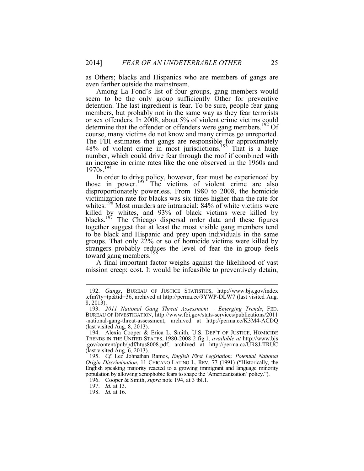as Others; blacks and Hispanics who are members of gangs are even farther outside the mainstream.

Among La Fond's list of four groups, gang members would seem to be the only group sufficiently Other for preventive detention. The last ingredient is fear. To be sure, people fear gang members, but probably not in the same way as they fear terrorists or sex offenders. In 2008, about 5% of violent crime victims could determine that the offender or offenders were gang members.<sup>192</sup> Of course, many victims do not know and many crimes go unreported. The FBI estimates that gangs are responsible for approximately  $48\%$  of violent crime in most jurisdictions.<sup>193</sup> That is a huge number, which could drive fear through the roof if combined with an increase in crime rates like the one observed in the 1960s and 1970s.<sup>194</sup>

In order to drive policy, however, fear must be experienced by those in power.<sup>195</sup> The victims of violent crime are also disproportionately powerless. From 1980 to 2008, the homicide victimization rate for blacks was six times higher than the rate for whites.<sup>196</sup> Most murders are intraracial: 84% of white victims were killed by whites, and 93% of black victims were killed by blacks.<sup>197</sup> The Chicago dispersal order data and these figures together suggest that at least the most visible gang members tend to be black and Hispanic and prey upon individuals in the same groups. That only 22% or so of homicide victims were killed by strangers probably reduces the level of fear the in-group feels toward gang members.<sup>198</sup>

A final important factor weighs against the likelihood of vast mission creep: cost. It would be infeasible to preventively detain,

<u>.</u>

 <sup>192.</sup> *Gangs*, BUREAU OF JUSTICE STATISTICS, http://www.bjs.gov/index .cfm?ty=tp&tid=36, archived at http://perma.cc/9YWP-DLW7 (last visited Aug. 8, 2013).

 <sup>193.</sup> *2011 National Gang Threat Assessment – Emerging Trends*, FED. BUREAU OF INVESTIGATION, http://www.fbi.gov/stats-services/publications/2011 -national-gang-threat-assessment, archived at http://perma.cc/K3M4-ACDQ (last visited Aug. 8, 2013).

 <sup>194.</sup> Alexia Cooper & Erica L. Smith, U.S. DEP'T OF JUSTICE, HOMICIDE TRENDS IN THE UNITED STATES, 1980-2008 2 fig.1, *available at* http://www.bjs .gov/content/pub/pdf/htus8008.pdf, archived at http://perma.cc/UR8J-TRUC (last visited Aug. 6, 2013).

 <sup>195.</sup> *Cf.* Leo Johnathan Ramos, *English First Legislation: Potential National Origin Discrimination*, 11 CHICANO-LATINO L. REV. 77 (1991) ("Historically, the English speaking majority reacted to a growing immigrant and language minority population by allowing xenophobic fears to shape the 'Americanization' policy.").

 <sup>196.</sup> Cooper & Smith, *supra* note 194, at 3 tbl.1.

 <sup>197.</sup> *Id.* at 13.

 <sup>198.</sup> *Id.* at 16.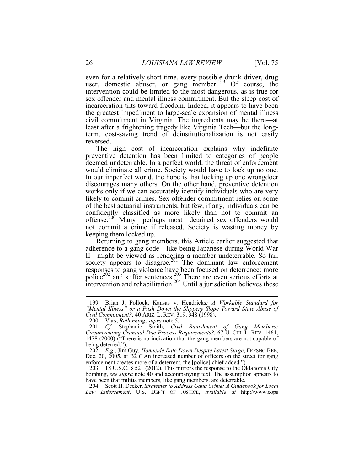even for a relatively short time, every possible drunk driver, drug user, domestic abuser, or gang member.<sup>199</sup> Of course, the intervention could be limited to the most dangerous, as is true for sex offender and mental illness commitment. But the steep cost of incarceration tilts toward freedom. Indeed, it appears to have been the greatest impediment to large-scale expansion of mental illness civil commitment in Virginia. The ingredients may be there—at least after a frightening tragedy like Virginia Tech—but the longterm, cost-saving trend of deinstitutionalization is not easily reversed.

The high cost of incarceration explains why indefinite preventive detention has been limited to categories of people deemed undeterrable. In a perfect world, the threat of enforcement would eliminate all crime. Society would have to lock up no one. In our imperfect world, the hope is that locking up one wrongdoer discourages many others. On the other hand, preventive detention works only if we can accurately identify individuals who are very likely to commit crimes. Sex offender commitment relies on some of the best actuarial instruments, but few, if any, individuals can be confidently classified as more likely than not to commit an offense.<sup>200</sup> Many—perhaps most—detained sex offenders would not commit a crime if released. Society is wasting money by keeping them locked up.

Returning to gang members, this Article earlier suggested that adherence to a gang code—like being Japanese during World War II—might be viewed as rendering a member undeterrable. So far, society appears to disagree.<sup>201</sup> The dominant law enforcement responses to gang violence have been focused on deterrence: more police<sup>202</sup> and stiffer sentences.<sup>203</sup> There are even serious efforts at intervention and rehabilitation.<sup>204</sup> Until a jurisdiction believes these

 203. 18 U.S.C. § 521 (2012). This mirrors the response to the Oklahoma City bombing, *see supra* note 40 and accompanying text. The assumption appears to have been that militia members, like gang members, are deterrable.

 204. Scott H. Decker, *Strategies to Address Gang Crime: A Guidebook for Local Law Enforcement*, U.S. DEP'T OF JUSTICE, *available at* http://www.cops

 <sup>199.</sup> Brian J. Pollock, Kansas v. Hendricks*: A Workable Standard for "Mental Illness" or a Push Down the Slippery Slope Toward State Abuse of Civil Commitment?*, 40 ARIZ. L. REV. 319, 348 (1998).

 <sup>200.</sup> Vars, *Rethinking*, *supra* note 5.

 <sup>201.</sup> *Cf.* Stephanie Smith, *Civil Banishment of Gang Members: Circumventing Criminal Due Process Requirements?*, 67 U. CHI. L. REV. 1461, 1478 (2000) ("There is no indication that the gang members are not capable of being deterred.").

 <sup>202.</sup> *E.g.*, Jim Guy, *Homicide Rate Down Despite Latest Surge*, FRESNO BEE, Dec. 20, 2005, at B2 ("An increased number of officers on the street for gang enforcement creates more of a deterrent, the [police] chief added.").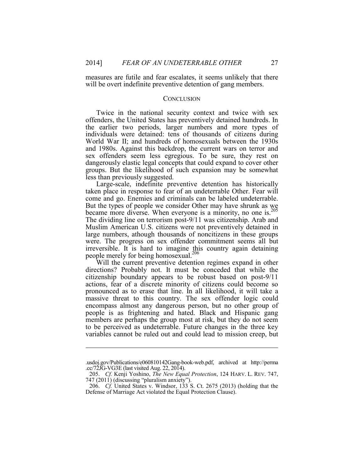1

measures are futile and fear escalates, it seems unlikely that there will be overt indefinite preventive detention of gang members.

#### **CONCLUSION**

Twice in the national security context and twice with sex offenders, the United States has preventively detained hundreds. In the earlier two periods, larger numbers and more types of individuals were detained: tens of thousands of citizens during World War II; and hundreds of homosexuals between the 1930s and 1980s. Against this backdrop, the current wars on terror and sex offenders seem less egregious. To be sure, they rest on dangerously elastic legal concepts that could expand to cover other groups. But the likelihood of such expansion may be somewhat less than previously suggested.

Large-scale, indefinite preventive detention has historically taken place in response to fear of an undeterrable Other. Fear will come and go. Enemies and criminals can be labeled undeterrable. But the types of people we consider Other may have shrunk as we became more diverse. When everyone is a minority, no one is.<sup>205</sup> The dividing line on terrorism post-9/11 was citizenship. Arab and Muslim American U.S. citizens were not preventively detained in large numbers, athough thousands of noncitizens in these groups were. The progress on sex offender commitment seems all but irreversible. It is hard to imagine this country again detaining people merely for being homosexual.<sup>206</sup>

Will the current preventive detention regimes expand in other directions? Probably not. It must be conceded that while the citizenship boundary appears to be robust based on post-9/11 actions, fear of a discrete minority of citizens could become so pronounced as to erase that line. In all likelihood, it will take a massive threat to this country. The sex offender logic could encompass almost any dangerous person, but no other group of people is as frightening and hated. Black and Hispanic gang members are perhaps the group most at risk, but they do not seem to be perceived as undeterrable. Future changes in the three key variables cannot be ruled out and could lead to mission creep, but

<sup>.</sup>usdoj.gov/Publications/e060810142Gang-book-web.pdf, archived at http://perma .cc/72JG-VG3E (last visited Aug. 22, 2014).

 <sup>205.</sup> *Cf.* Kenji Yoshino, *The New Equal Protection*, 124 HARV. L. REV. 747, 747 (2011) (discussing "pluralism anxiety").

 <sup>206.</sup> *Cf.* United States v. Windsor, 133 S. Ct. 2675 (2013) (holding that the Defense of Marriage Act violated the Equal Protection Clause).